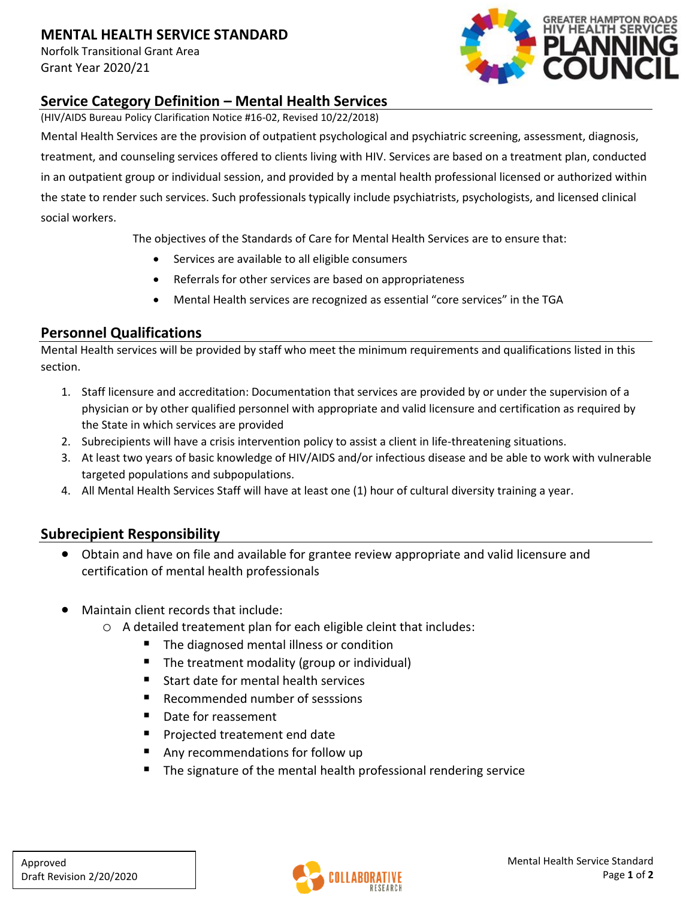## **MENTAL HEALTH SERVICE STANDARD**

Norfolk Transitional Grant Area Grant Year 2020/21



## **Service Category Definition – Mental Health Services**

(HIV/AIDS Bureau Policy Clarification Notice #16-02, Revised 10/22/2018)

Mental Health Services are the provision of outpatient psychological and psychiatric screening, assessment, diagnosis, treatment, and counseling services offered to clients living with HIV. Services are based on a treatment plan, conducted in an outpatient group or individual session, and provided by a mental health professional licensed or authorized within the state to render such services. Such professionals typically include psychiatrists, psychologists, and licensed clinical social workers.

The objectives of the Standards of Care for Mental Health Services are to ensure that:

- Services are available to all eligible consumers
- Referrals for other services are based on appropriateness
- Mental Health services are recognized as essential "core services" in the TGA

## **Personnel Qualifications**

Mental Health services will be provided by staff who meet the minimum requirements and qualifications listed in this section.

- 1. Staff licensure and accreditation: Documentation that services are provided by or under the supervision of a physician or by other qualified personnel with appropriate and valid licensure and certification as required by the State in which services are provided
- 2. Subrecipients will have a crisis intervention policy to assist a client in life-threatening situations.
- 3. At least two years of basic knowledge of HIV/AIDS and/or infectious disease and be able to work with vulnerable targeted populations and subpopulations.
- 4. All Mental Health Services Staff will have at least one (1) hour of cultural diversity training a year.

#### **Subrecipient Responsibility**

- Obtain and have on file and available for grantee review appropriate and valid licensure and certification of mental health professionals
- Maintain client records that include:
	- o A detailed treatement plan for each eligible cleint that includes:
		- The diagnosed mental illness or condition
		- The treatment modality (group or individual)
		- Start date for mental health services
		- Recommended number of sesssions
		- Date for reassement
		- Projected treatement end date
		- Any recommendations for follow up
		- The signature of the mental health professional rendering service